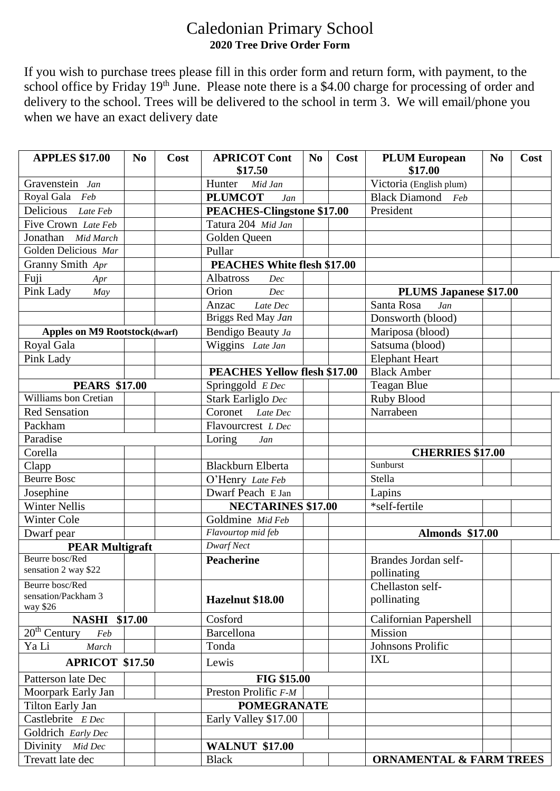## Caledonian Primary School **2020 Tree Drive Order Form**

If you wish to purchase trees please fill in this order form and return form, with payment, to the school office by Friday 19<sup>th</sup> June. Please note there is a \$4.00 charge for processing of order and delivery to the school. Trees will be delivered to the school in term 3. We will email/phone you when we have an exact delivery date

| <b>APPLES \$17.00</b>                | N <sub>0</sub> | Cost | <b>APRICOT Cont</b><br>\$17.50      | N <sub>0</sub> | Cost                   | <b>PLUM European</b><br>\$17.00    | N <sub>0</sub> | Cost |
|--------------------------------------|----------------|------|-------------------------------------|----------------|------------------------|------------------------------------|----------------|------|
| Gravenstein Jan                      |                |      | Hunter<br>Mid Jan                   |                |                        | Victoria (English plum)            |                |      |
| Royal Gala Feb                       |                |      | <b>PLUMCOT</b><br>Jan               |                |                        | <b>Black Diamond</b><br>Feb        |                |      |
| Delicious Late Feb                   |                |      | PEACHES-Clingstone \$17.00          |                | President              |                                    |                |      |
| Five Crown Late Feb                  |                |      | Tatura 204 Mid Jan                  |                |                        |                                    |                |      |
| Jonathan Mid March                   |                |      | Golden Queen                        |                |                        |                                    |                |      |
| Golden Delicious Mar                 |                |      | Pullar                              |                |                        |                                    |                |      |
| Granny Smith Apr                     |                |      | <b>PEACHES White flesh \$17.00</b>  |                |                        |                                    |                |      |
| Fuji<br>Apr                          |                |      | Albatross<br>Dec                    |                |                        |                                    |                |      |
| Pink Lady<br>May                     |                |      | Orion<br>Dec                        |                |                        | <b>PLUMS Japanese \$17.00</b>      |                |      |
|                                      |                |      | Anzac<br>Late Dec                   |                |                        | Santa Rosa<br>Jan                  |                |      |
|                                      |                |      | Briggs Red May Jan                  |                |                        | Donsworth (blood)                  |                |      |
| <b>Apples on M9 Rootstock(dwarf)</b> |                |      | Bendigo Beauty Ja                   |                |                        | Mariposa (blood)                   |                |      |
| Royal Gala                           |                |      | Wiggins Late Jan                    |                |                        | Satsuma (blood)                    |                |      |
| Pink Lady                            |                |      |                                     |                |                        | <b>Elephant Heart</b>              |                |      |
|                                      |                |      | <b>PEACHES Yellow flesh \$17.00</b> |                |                        | <b>Black Amber</b>                 |                |      |
| <b>PEARS \$17.00</b>                 |                |      | Springgold E Dec                    |                |                        | <b>Teagan Blue</b>                 |                |      |
| Williams bon Cretian                 |                |      | Stark Earliglo Dec                  |                |                        | Ruby Blood                         |                |      |
| <b>Red Sensation</b>                 |                |      | Coronet<br>Late Dec                 |                |                        | Narrabeen                          |                |      |
| Packham                              |                |      | Flavourcrest L Dec                  |                |                        |                                    |                |      |
| Paradise                             |                |      | Loring<br>Jan                       |                |                        |                                    |                |      |
| Corella                              |                |      |                                     |                |                        | <b>CHERRIES \$17.00</b>            |                |      |
| Clapp                                |                |      | <b>Blackburn Elberta</b>            |                |                        | Sunburst                           |                |      |
| <b>Beurre Bosc</b>                   |                |      | O'Henry Late Feb                    |                |                        | Stella                             |                |      |
| Josephine                            |                |      | Dwarf Peach E Jan                   |                |                        | Lapins                             |                |      |
| <b>Winter Nellis</b>                 |                |      | <b>NECTARINES \$17.00</b>           |                |                        | *self-fertile                      |                |      |
| Winter Cole                          |                |      | Goldmine Mid Feb                    |                |                        |                                    |                |      |
| Dwarf pear                           |                |      | Flavourtop mid feb                  |                | <b>Almonds \$17.00</b> |                                    |                |      |
| <b>PEAR Multigraft</b>               |                |      | <b>Dwarf Nect</b>                   |                |                        |                                    |                |      |
| Beurre bosc/Red                      |                |      | <b>Peacherine</b>                   |                |                        | Brandes Jordan self-               |                |      |
| sensation 2 way \$22                 |                |      |                                     |                |                        | pollinating                        |                |      |
| Beurre bosc/Red                      |                |      |                                     |                |                        | Chellaston self-                   |                |      |
| sensation/Packham 3<br>way \$26      |                |      | Hazelnut \$18.00                    |                |                        | pollinating                        |                |      |
| <b>NASHI \$17.00</b>                 |                |      | Cosford                             |                |                        | <b>Californian Papershell</b>      |                |      |
| $20th$ Century<br>Feb                |                |      | <b>Barcellona</b>                   |                |                        | Mission                            |                |      |
| Ya Li<br>March                       |                |      | Tonda                               |                |                        | Johnsons Prolific                  |                |      |
| <b>APRICOT \$17.50</b>               |                |      | Lewis                               |                |                        | <b>IXL</b>                         |                |      |
| Patterson late Dec                   |                |      | <b>FIG \$15.00</b>                  |                |                        |                                    |                |      |
| Moorpark Early Jan                   |                |      | Preston Prolific F-M                |                |                        |                                    |                |      |
| Tilton Early Jan                     |                |      | <b>POMEGRANATE</b>                  |                |                        |                                    |                |      |
| Castlebrite E Dec                    |                |      | Early Valley \$17.00                |                |                        |                                    |                |      |
| Goldrich Early Dec                   |                |      |                                     |                |                        |                                    |                |      |
| Divinity Mid Dec                     |                |      | <b>WALNUT \$17.00</b>               |                |                        |                                    |                |      |
| Trevatt late dec                     |                |      | <b>Black</b>                        |                |                        | <b>ORNAMENTAL &amp; FARM TREES</b> |                |      |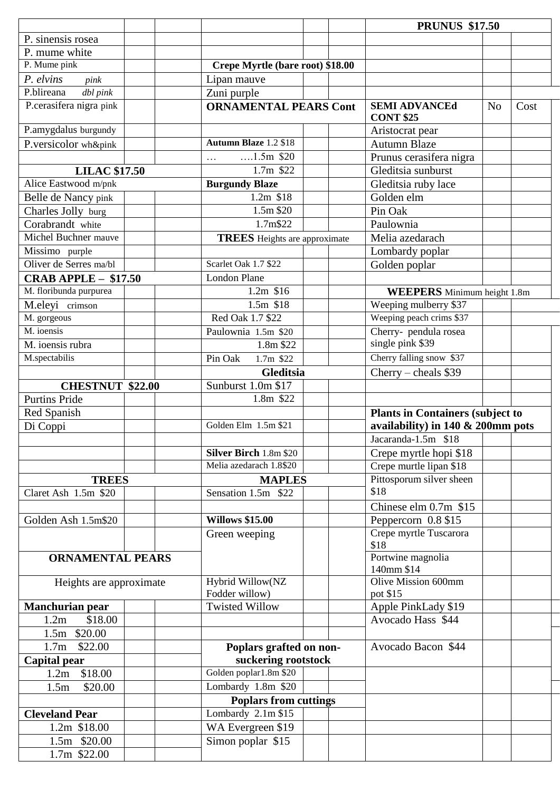|                                      |  |                                      |  |      | <b>PRUNUS \$17.50</b>                                                            |                |      |
|--------------------------------------|--|--------------------------------------|--|------|----------------------------------------------------------------------------------|----------------|------|
| P. sinensis rosea                    |  |                                      |  |      |                                                                                  |                |      |
| P. mume white                        |  |                                      |  |      |                                                                                  |                |      |
| P. Mume pink                         |  | Crepe Myrtle (bare root) \$18.00     |  |      |                                                                                  |                |      |
| P. elvins<br>pink                    |  | Lipan mauve                          |  |      |                                                                                  |                |      |
| P.blireana<br>dbl pink               |  | Zuni purple                          |  |      |                                                                                  |                |      |
| P.cerasifera nigra pink              |  | <b>ORNAMENTAL PEARS Cont</b>         |  |      | <b>SEMI ADVANCEd</b>                                                             | N <sub>o</sub> | Cost |
|                                      |  |                                      |  |      | <b>CONT \$25</b>                                                                 |                |      |
| P.amygdalus burgundy                 |  |                                      |  |      | Aristocrat pear                                                                  |                |      |
| P.versicolor wh&pink                 |  | <b>Autumn Blaze 1.2 \$18</b>         |  |      | <b>Autumn Blaze</b>                                                              |                |      |
|                                      |  | $1.5m$ \$20<br>$\cdots$              |  |      | Prunus cerasifera nigra                                                          |                |      |
| <b>LILAC \$17.50</b>                 |  | 1.7m \$22                            |  |      | Gleditsia sunburst                                                               |                |      |
| Alice Eastwood m/pnk                 |  | <b>Burgundy Blaze</b>                |  |      | Gleditsia ruby lace                                                              |                |      |
| Belle de Nancy pink                  |  | 1.2m \$18                            |  |      | Golden elm                                                                       |                |      |
| Charles Jolly burg                   |  | 1.5m \$20                            |  |      | Pin Oak                                                                          |                |      |
| Corabrandt white                     |  | 1.7m\$22                             |  |      | Paulownia                                                                        |                |      |
| Michel Buchner mauve                 |  | <b>TREES</b> Heights are approximate |  |      | Melia azedarach                                                                  |                |      |
| Missimo purple                       |  |                                      |  |      | Lombardy poplar                                                                  |                |      |
| Oliver de Serres ma/bl               |  | Scarlet Oak 1.7 \$22                 |  |      | Golden poplar                                                                    |                |      |
| CRAB APPLE $-$ \$17.50               |  | <b>London Plane</b>                  |  |      |                                                                                  |                |      |
| M. floribunda purpurea               |  | 1.2m \$16                            |  |      | <b>WEEPERS</b> Minimum height 1.8m                                               |                |      |
| M.eleyi crimson                      |  | 1.5m \$18                            |  |      | Weeping mulberry \$37                                                            |                |      |
| M. gorgeous                          |  | Red Oak 1.7 \$22                     |  |      | Weeping peach crims \$37                                                         |                |      |
| M. ioensis                           |  | Paulownia 1.5m \$20                  |  |      | Cherry- pendula rosea                                                            |                |      |
| M. ioensis rubra                     |  | 1.8m \$22                            |  |      | single pink \$39                                                                 |                |      |
| M.spectabilis                        |  | Pin Oak<br>1.7m \$22                 |  |      | Cherry falling snow \$37                                                         |                |      |
|                                      |  | <b>Gleditsia</b>                     |  |      | Cherry – cheals $$39$                                                            |                |      |
| <b>CHESTNUT \$22.00</b>              |  | Sunburst 1.0m \$17                   |  |      |                                                                                  |                |      |
| <b>Purtins Pride</b>                 |  | 1.8m \$22                            |  |      |                                                                                  |                |      |
| Red Spanish                          |  |                                      |  |      |                                                                                  |                |      |
| Di Coppi                             |  | Golden Elm 1.5m \$21                 |  |      | <b>Plants in Containers (subject to</b><br>availability) in $140 \& 200$ mm pots |                |      |
|                                      |  |                                      |  |      | Jacaranda-1.5m $\overline{\$18}$                                                 |                |      |
|                                      |  | <b>Silver Birch 1.8m \$20</b>        |  |      | Crepe myrtle hopi \$18                                                           |                |      |
|                                      |  | Melia azedarach 1.8\$20              |  |      | Crepe murtle lipan \$18                                                          |                |      |
|                                      |  |                                      |  |      | Pittosporum silver sheen                                                         |                |      |
| <b>TREES</b><br>Claret Ash 1.5m \$20 |  | <b>MAPLES</b><br>Sensation 1.5m \$22 |  | \$18 |                                                                                  |                |      |
|                                      |  |                                      |  |      | Chinese elm $0.7m$ \$15                                                          |                |      |
|                                      |  | <b>Willows \$15.00</b>               |  |      |                                                                                  |                |      |
| Golden Ash 1.5m\$20                  |  |                                      |  |      | Peppercorn 0.8 \$15                                                              |                |      |
|                                      |  | Green weeping                        |  |      | Crepe myrtle Tuscarora<br>\$18                                                   |                |      |
|                                      |  |                                      |  |      | Portwine magnolia                                                                |                |      |
| <b>ORNAMENTAL PEARS</b>              |  |                                      |  |      | 140mm \$14                                                                       |                |      |
| Heights are approximate              |  | Hybrid Willow(NZ                     |  |      | Olive Mission 600mm                                                              |                |      |
|                                      |  | Fodder willow)                       |  |      | pot \$15                                                                         |                |      |
| <b>Manchurian pear</b>               |  | <b>Twisted Willow</b>                |  |      | Apple PinkLady \$19                                                              |                |      |
| \$18.00<br>1.2m                      |  |                                      |  |      | Avocado Hass \$44                                                                |                |      |
| 1.5m \$20.00                         |  |                                      |  |      |                                                                                  |                |      |
| \$22.00<br>1.7 <sub>m</sub>          |  | Poplars grafted on non-              |  |      | Avocado Bacon \$44                                                               |                |      |
| Capital pear                         |  | suckering rootstock                  |  |      |                                                                                  |                |      |
| \$18.00<br>1.2m                      |  | Golden poplar1.8m \$20               |  |      |                                                                                  |                |      |
| \$20.00<br>1.5 <sub>m</sub>          |  | Lombardy $1.8m$ \$20                 |  |      |                                                                                  |                |      |
|                                      |  | <b>Poplars from cuttings</b>         |  |      |                                                                                  |                |      |
| <b>Cleveland Pear</b>                |  | Lombardy $2.1m$ \$15                 |  |      |                                                                                  |                |      |
| 1.2m \$18.00                         |  | WA Evergreen \$19                    |  |      |                                                                                  |                |      |
| 1.5m \$20.00                         |  | Simon poplar \$15                    |  |      |                                                                                  |                |      |
| 1.7m \$22.00                         |  |                                      |  |      |                                                                                  |                |      |
|                                      |  |                                      |  |      |                                                                                  |                |      |